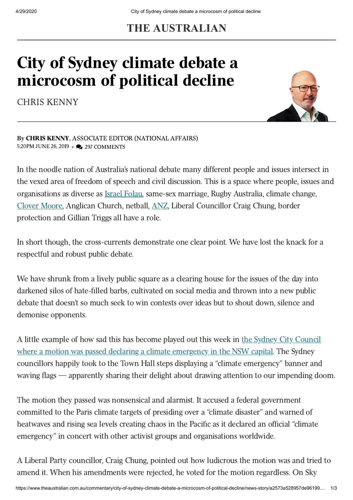## **THE AUSTRALIAN**

## City of Sydney climate debate a microcosm of political decline

CHRIS [KENNY](https://www.theaustralian.com.au/author/Chris+Kenny)



By CHRIS [KENNY,](https://www.theaustralian.com.au/author/Chris+Kenny) ASSOCIATE EDITOR (NATIONAL AFFAIRS) 5:20PM JUNE 26, 2019 • 297 COMMENTS

In the noodle nation of Australia's national debate many different people and issues intersect in the vexed area of freedom of speech and civil discussion. This is a space where people, issues and organisations as diverse as Israel [Folau](https://www.theaustralian.com.au/topics/israel-folau), same-sex marriage, Rugby Australia, climate change, Clover [Moore,](https://www.theaustralian.com.au/nation/feds-to-blame-as-moore-declares-city-climate-emergency/news-story/3ed85a236f1995043eae69bba3537be0) Anglican Church, netball, [ANZ](https://www.theaustralian.com.au/nation/liz-ellis-my-beef-is-with-netball-bosses-not-maria-folau/news-story/d41dd6ad19a2c1b73affa61c1a0cddcf), Liberal Councillor Craig Chung, border protection and Gillian Triggs all have a role.

In short though, the cross-currents demonstrate one clear point. We have lost the knack for a respectful and robust public debate.

We have shrunk from a lively public square as a clearing house for the issues of the day into darkened silos of hate-filled barbs, cultivated on social media and thrown into a new public debate that doesn't so much seek to win contests over ideas but to shout down, silence and demonise opponents.

A little example of how sad this has become played out this week in the Sydney City Council where a motion was passed declaring a climate [emergency](https://www.theaustralian.com.au/nation/feds-to-blame-as-moore-declares-city-climate-emergency/news-story/3ed85a236f1995043eae69bba3537be0) in the NSW capital. The Sydney councillors happily took to the Town Hall steps displaying a "climate emergency" banner and waving flags — apparently sharing their delight about drawing attention to our impending doom.

The motion they passed was nonsensical and alarmist. It accused a federal government committed to the Paris climate targets of presiding over a "climate disaster" and warned of heatwaves and rising sea levels creating chaos in the Pacific as it declared an official "climate emergency" in concert with other activist groups and organisations worldwide.

A Liberal Party councillor, Craig Chung, pointed out how ludicrous the motion was and tried to amend it. When his amendments were rejected, he voted for the motion regardless. On Sky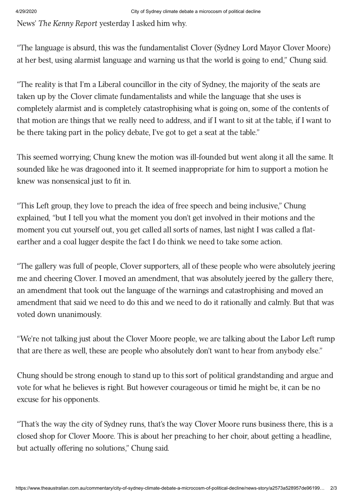News' The Kenny Report yesterday I asked him why.

"The language is absurd, this was the fundamentalist Clover (Sydney Lord Mayor Clover Moore) at her best, using alarmist language and warning us that the world is going to end," Chung said.

"The reality is that I'm a Liberal councillor in the city of Sydney, the majority of the seats are taken up by the Clover climate fundamentalists and while the language that she uses is completely alarmist and is completely catastrophising what is going on, some of the contents of that motion are things that we really need to address, and if I want to sit at the table, if I want to be there taking part in the policy debate, I've got to get a seat at the table."

This seemed worrying; Chung knew the motion was ill-founded but went along it all the same. It sounded like he was dragooned into it. It seemed inappropriate for him to support a motion he knew was nonsensical just to fit in.

"This Left group, they love to preach the idea of free speech and being inclusive," Chung explained, "but I tell you what the moment you don't get involved in their motions and the moment you cut yourself out, you get called all sorts of names, last night I was called a flatearther and a coal lugger despite the fact I do think we need to take some action.

"The gallery was full of people, Clover supporters, all of these people who were absolutely jeering me and cheering Clover. I moved an amendment, that was absolutely jeered by the gallery there, an amendment that took out the language of the warnings and catastrophising and moved an amendment that said we need to do this and we need to do it rationally and calmly. But that was voted down unanimously.

"We're not talking just about the Clover Moore people, we are talking about the Labor Left rump that are there as well, these are people who absolutely don't want to hear from anybody else."

Chung should be strong enough to stand up to this sort of political grandstanding and argue and vote for what he believes is right. But however courageous or timid he might be, it can be no excuse for his opponents.

"That's the way the city of Sydney runs, that's the way Clover Moore runs business there, this is a closed shop for Clover Moore. This is about her preaching to her choir, about getting a headline, but actually offering no solutions," Chung said.